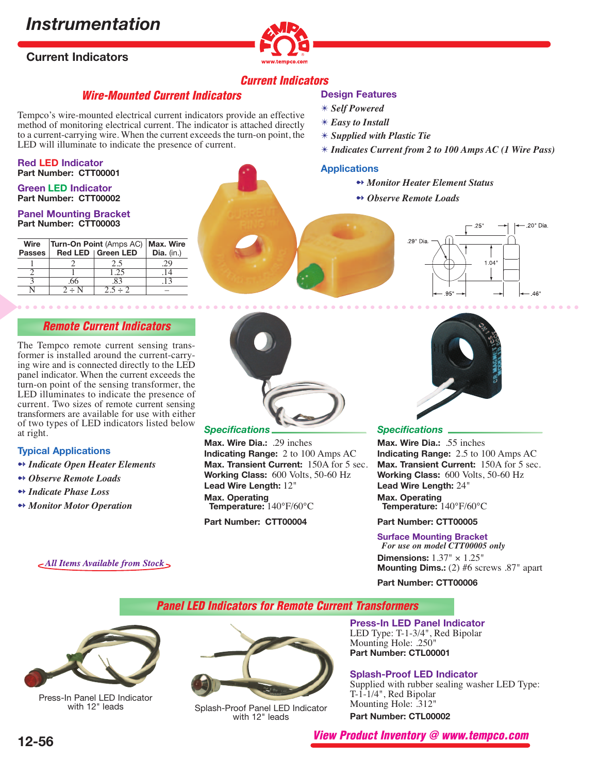## *Instrumentation*

## **Current Indicators**



## **Current Indicators**

**Design Features** ✴ *Self Powered* ✴ *Easy to Install*

**Applications**

✴ *Supplied with Plastic Tie*

## **Wire-Mounted Current Indicators**

Tempco's wire-mounted electrical current indicators provide an effective method of monitoring electrical current. The indicator is attached directly to a current-carrying wire. When the current exceeds the turn-on point, the LED will illuminate to indicate the presence of current.

#### **Red LED Indicator Part Number: CTT00001**

#### **Green LED Indicator Part Number: CTT00002**

#### **Panel Mounting Bracket Part Number: CTT00003**

| Wire          | Turn-On Point (Amps AC)   Max. Wire |                     |     |
|---------------|-------------------------------------|---------------------|-----|
| <b>Passes</b> |                                     | Red LED   Green LED |     |
|               |                                     | 2.5                 | 29  |
|               |                                     | 1.25                | .14 |
|               | .66                                 | .83                 | .13 |
|               | $2 \div N$                          | $2.5 \div 2$        |     |

## **Remote Current Indicators**

The Tempco remote current sensing transformer is installed around the current-carrying wire and is connected directly to the LED panel indicator. When the current exceeds the turn-on point of the sensing transformer, the LED illuminates to indicate the presence of current. Two sizes of remote current sensing transformers are available for use with either of two types of LED indicators listed below at right.

#### **Typical Applications**

- ➻ *Indicate Open Heater Elements*
- ➻ *Observe Remote Loads*
- ➻ *Indicate Phase Loss*
- ➻ *Monitor Motor Operation*



## *Specifications*

**Max. Wire Dia.:** .29 inches **Indicating Range:** 2 to 100 Amps AC **Max. Transient Current:** 150A for 5 sec. **Working Class:** 600 Volts, 50-60 Hz **Lead Wire Length:** 12" **Max. Operating Temperature:** 140°F/60°C

**Part Number: CTT00004**

# 29" Dia 1.04  $95'$

.20" Dia.

 $.46'$ 

✴ *Indicates Current from 2 to 100 Amps AC (1 Wire Pass)*

➻ *Monitor Heater Element Status*

➻ *Observe Remote Loads*



#### *Specifications*

**Max. Wire Dia.:** .55 inches **Indicating Range:** 2.5 to 100 Amps AC **Max. Transient Current:** 150A for 5 sec. **Working Class:** 600 Volts, 50-60 Hz **Lead Wire Length:** 24" **Max. Operating Temperature:** 140°F/60°C

#### **Part Number: CTT00005**

**Surface Mounting Bracket**  *For use on model CTT00005 only* **Dimensions:** 1.37" × 1.25" **Mounting Dims.:** (2) #6 screws .87" apart

#### **Part Number: CTT00006**

**Panel LED Indicators for Remote Current Transformers**



Press-In Panel LED Indicator<br>with 12" leads

Splash-Proof Panel LED Indicator with 12" leads

**Press-In LED Panel Indicator** LED Type: T-1-3/4", Red Bipolar Mounting Hole: .250" **Part Number: CTL00001**

#### **Splash-Proof LED Indicator**

Supplied with rubber sealing washer LED Type: T-1-1/4", Red Bipolar Mounting Hole: .312" **Part Number: CTL00002**

**View Product Inventory @ www.tempco.com**

All Items Available from Stock >

**12-56**